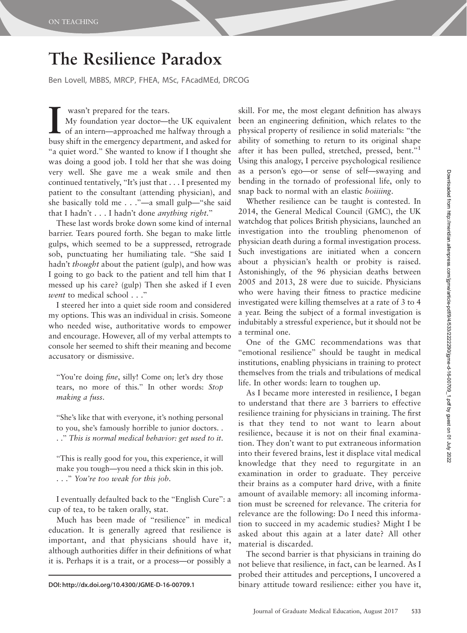## The Resilience Paradox

Ben Lovell, MBBS, MRCP, FHEA, MSc, FAcadMEd, DRCOG

I wasn't prepared for the tears.<br>
My foundation year doctor—the UK equivalent<br>
of an intern—approached me halfway through a<br>
busy shift in the emergency department, and asked for wasn't prepared for the tears. My foundation year doctor—the UK equivalent of an intern—approached me halfway through a "a quiet word." She wanted to know if I thought she was doing a good job. I told her that she was doing very well. She gave me a weak smile and then continued tentatively, ''It's just that . . . I presented my patient to the consultant (attending physician), and she basically told me . . .''—a small gulp—''she said that I hadn't  $\dots$  I hadn't done *anything right*."

These last words broke down some kind of internal barrier. Tears poured forth. She began to make little gulps, which seemed to be a suppressed, retrograde sob, punctuating her humiliating tale. ''She said I hadn't *thought* about the patient (gulp), and how was I going to go back to the patient and tell him that I messed up his care? (gulp) Then she asked if I even went to medical school . . ."

I steered her into a quiet side room and considered my options. This was an individual in crisis. Someone who needed wise, authoritative words to empower and encourage. However, all of my verbal attempts to console her seemed to shift their meaning and become accusatory or dismissive.

"You're doing *fine*, silly! Come on; let's dry those tears, no more of this.'' In other words: Stop making a fuss.

''She's like that with everyone, it's nothing personal to you, she's famously horrible to junior doctors. . . .'' This is normal medical behavior: get used to it.

''This is really good for you, this experience, it will make you tough—you need a thick skin in this job. ...'' You're too weak for this job.

I eventually defaulted back to the ''English Cure'': a cup of tea, to be taken orally, stat.

Much has been made of ''resilience'' in medical education. It is generally agreed that resilience is important, and that physicians should have it, although authorities differ in their definitions of what it is. Perhaps it is a trait, or a process—or possibly a

skill. For me, the most elegant definition has always been an engineering definition, which relates to the physical property of resilience in solid materials: ''the ability of something to return to its original shape after it has been pulled, stretched, pressed, bent.''<sup>1</sup> Using this analogy, I perceive psychological resilience as a person's ego—or sense of self—swaying and bending in the tornado of professional life, only to snap back to normal with an elastic boiiing.

Whether resilience can be taught is contested. In 2014, the General Medical Council (GMC), the UK watchdog that polices British physicians, launched an investigation into the troubling phenomenon of physician death during a formal investigation process. Such investigations are initiated when a concern about a physician's health or probity is raised. Astonishingly, of the 96 physician deaths between 2005 and 2013, 28 were due to suicide. Physicians who were having their fitness to practice medicine investigated were killing themselves at a rate of 3 to 4 a year. Being the subject of a formal investigation is indubitably a stressful experience, but it should not be a terminal one.

One of the GMC recommendations was that "emotional resilience" should be taught in medical institutions, enabling physicians in training to protect themselves from the trials and tribulations of medical life. In other words: learn to toughen up.

As I became more interested in resilience, I began to understand that there are 3 barriers to effective resilience training for physicians in training. The first is that they tend to not want to learn about resilience, because it is not on their final examination. They don't want to put extraneous information into their fevered brains, lest it displace vital medical knowledge that they need to regurgitate in an examination in order to graduate. They perceive their brains as a computer hard drive, with a finite amount of available memory: all incoming information must be screened for relevance. The criteria for relevance are the following: Do I need this information to succeed in my academic studies? Might I be asked about this again at a later date? All other material is discarded.

The second barrier is that physicians in training do not believe that resilience, in fact, can be learned. As I probed their attitudes and perceptions, I uncovered a DOI: http://dx.doi.org/10.4300/JGME-D-16-00709.1 binary attitude toward resilience: either you have it,